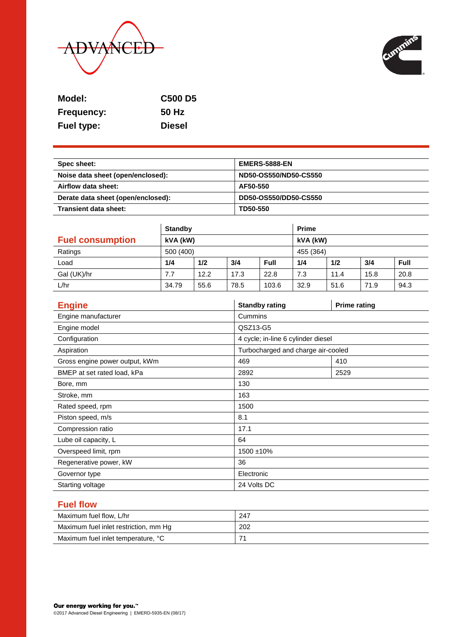



| Model:            | <b>C500 D5</b> |
|-------------------|----------------|
| <b>Frequency:</b> | 50 Hz          |
| <b>Fuel type:</b> | <b>Diesel</b>  |

| Spec sheet:                        | <b>EMERS-5888-EN</b>  |
|------------------------------------|-----------------------|
| Noise data sheet (open/enclosed):  | ND50-OS550/ND50-CS550 |
| Airflow data sheet:                | AF50-550              |
| Derate data sheet (open/enclosed): | DD50-OS550/DD50-CS550 |
| Transient data sheet:              | TD50-550              |

|                         | <b>Standby</b> |      |      | <b>Prime</b> |      |      |      |             |
|-------------------------|----------------|------|------|--------------|------|------|------|-------------|
| <b>Fuel consumption</b> | kVA (kW)       |      |      | kVA (kW)     |      |      |      |             |
| Ratings                 | 500 (400)      |      |      | 455 (364)    |      |      |      |             |
| Load                    | 1/4            | 1/2  | 3/4  | Full         | 1/4  | 1/2  | 3/4  | <b>Full</b> |
| Gal (UK)/hr             | 7.7            | 12.2 | 17.3 | 22.8         | 7.3  | 11.4 | 15.8 | 20.8        |
| L/hr                    | 34.79          | 55.6 | 78.5 | 103.6        | 32.9 | 51.6 | 71.9 | 94.3        |

| <b>Engine</b>                  | <b>Standby rating</b>              | <b>Prime rating</b> |  |  |
|--------------------------------|------------------------------------|---------------------|--|--|
| Engine manufacturer            | Cummins                            |                     |  |  |
| Engine model                   | QSZ13-G5                           |                     |  |  |
| Configuration                  | 4 cycle; in-line 6 cylinder diesel |                     |  |  |
| Aspiration                     | Turbocharged and charge air-cooled |                     |  |  |
| Gross engine power output, kWm | 469                                | 410                 |  |  |
| BMEP at set rated load, kPa    | 2892                               | 2529                |  |  |
| Bore, mm                       | 130                                |                     |  |  |
| Stroke, mm                     | 163                                |                     |  |  |
| Rated speed, rpm               | 1500                               |                     |  |  |
| Piston speed, m/s              | 8.1                                |                     |  |  |
| Compression ratio              | 17.1                               |                     |  |  |
| Lube oil capacity, L           | 64                                 |                     |  |  |
| Overspeed limit, rpm           | 1500 ±10%                          |                     |  |  |
| Regenerative power, kW         | 36                                 |                     |  |  |
| Governor type                  | Electronic                         |                     |  |  |
| Starting voltage               | 24 Volts DC                        |                     |  |  |

# **Fuel flow**

| Maximum fuel flow, L/hr               | 247 |
|---------------------------------------|-----|
| Maximum fuel inlet restriction, mm Hg | 202 |
| Maximum fuel inlet temperature, °C    |     |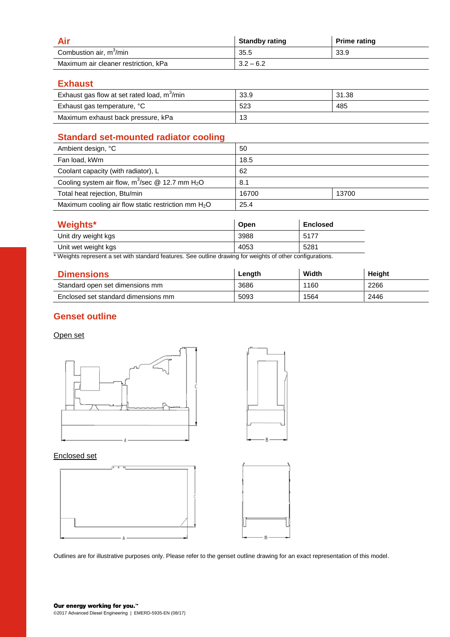|                                      | <b>Standby rating</b> | <b>Prime rating</b> |
|--------------------------------------|-----------------------|---------------------|
| Combustion air, m <sup>3</sup> /min  | 35.5                  | 33.9                |
| Maximum air cleaner restriction, kPa | $3.2 - 6.2$           |                     |

**Exhaust**

| Exhaust gas flow at set rated load, m <sup>3</sup> /min | 33.9 | 31.38 |
|---------------------------------------------------------|------|-------|
| Exhaust gas temperature, °C                             | 523  | 485   |
| Maximum exhaust back pressure, kPa                      | 13   |       |

# **Standard set-mounted radiator cooling**

| Ambient design, °C                                             | 50    |       |
|----------------------------------------------------------------|-------|-------|
| Fan load, kWm                                                  | 18.5  |       |
| Coolant capacity (with radiator), L                            | 62    |       |
| Cooling system air flow, $m^3$ /sec @ 12.7 mm H <sub>2</sub> O | 8.1   |       |
| Total heat rejection, Btu/min                                  | 16700 | 13700 |
| Maximum cooling air flow static restriction mm $H_2O$          | 25.4  |       |

| <b>Weights*</b>     | Open | <b>Enclosed</b> |
|---------------------|------|-----------------|
| Unit dry weight kgs | 3988 | 5177            |
| Unit wet weight kgs | 4053 | 5281            |

\* Weights represent a set with standard features. See outline drawing for weights of other configurations.

| <b>Dimensions</b>                   | Length | Width | Height |
|-------------------------------------|--------|-------|--------|
| Standard open set dimensions mm     | 3686   | 1160  | 2266   |
| Enclosed set standard dimensions mm | 5093   | 1564  | 2446   |

# **Genset outline**

#### Open set





#### Enclosed set



Outlines are for illustrative purposes only. Please refer to the genset outline drawing for an exact representation of this model.